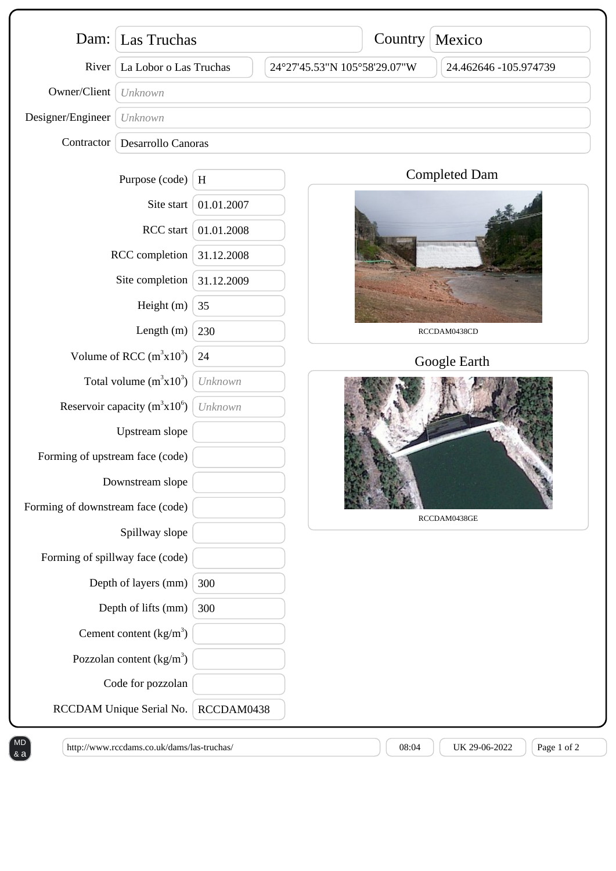|                                   | Dam: Las Truchas                |            |                              | Country      | Mexico                |
|-----------------------------------|---------------------------------|------------|------------------------------|--------------|-----------------------|
| River                             | La Lobor o Las Truchas          |            | 24°27'45.53"N 105°58'29.07"W |              | 24.462646 -105.974739 |
| Owner/Client                      | Unknown                         |            |                              |              |                       |
| Designer/Engineer                 | Unknown                         |            |                              |              |                       |
|                                   | Contractor   Desarrollo Canoras |            |                              |              |                       |
|                                   | Purpose (code)                  | $\,$ H     |                              |              | <b>Completed Dam</b>  |
| Site start<br>RCC start           |                                 | 01.01.2007 |                              |              |                       |
|                                   |                                 | 01.01.2008 |                              |              |                       |
| RCC completion                    |                                 | 31.12.2008 |                              |              |                       |
| Site completion                   |                                 | 31.12.2009 |                              |              |                       |
| Height (m)                        |                                 | 35         |                              |              |                       |
| Length $(m)$                      |                                 | 230        |                              | RCCDAM0438CD |                       |
| Volume of RCC $(m^3x10^3)$        |                                 | 24         |                              | Google Earth |                       |
| Total volume $(m^3x10^3)$         |                                 | Unknown    |                              |              |                       |
| Reservoir capacity $(m^3x10^6)$   |                                 | Unknown    |                              |              |                       |
| Upstream slope                    |                                 |            |                              |              |                       |
| Forming of upstream face (code)   |                                 |            |                              |              |                       |
| Downstream slope                  |                                 |            |                              |              |                       |
| Forming of downstream face (code) |                                 |            |                              |              | RCCDAM0438GE          |
| Spillway slope                    |                                 |            |                              |              |                       |
| Forming of spillway face (code)   |                                 |            |                              |              |                       |
| Depth of layers (mm)              |                                 | 300        |                              |              |                       |
| Depth of lifts (mm)               |                                 | 300        |                              |              |                       |
|                                   | Cement content $(kg/m3)$        |            |                              |              |                       |
|                                   | Pozzolan content $(kg/m3)$      |            |                              |              |                       |
|                                   | Code for pozzolan               |            |                              |              |                       |
|                                   | RCCDAM Unique Serial No.        | RCCDAM0438 |                              |              |                       |